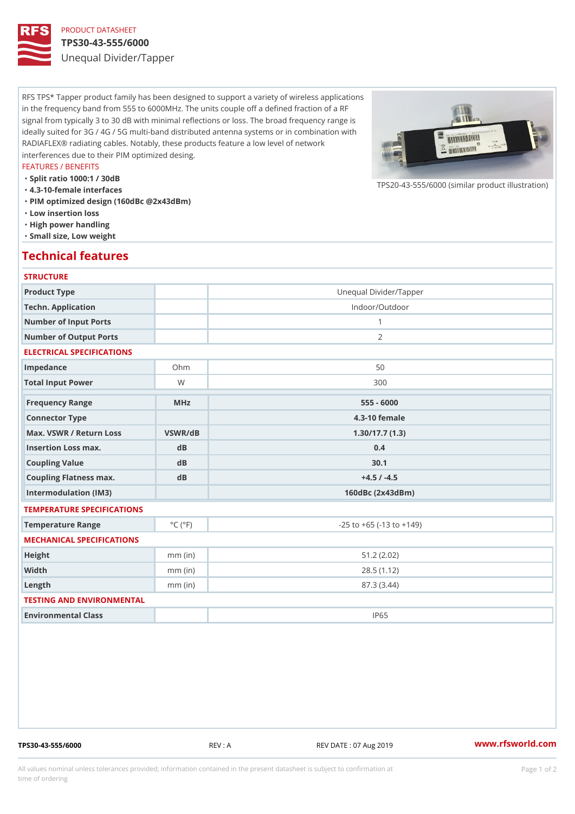## PRODUCT DATASHEET

### TPS30-43-555/6000

Unequal Divider/Tapper

RFS TPS\* Tapper product family has been designed to support a variety of wireless applications in the frequency band from 555 to 6000MHz. The units couple off a defined fraction of a RF signal from typically 3 to 30 dB with minimal reflections or loss. The broad frequency range is ideally suited for 3G / 4G / 5G multi-band distributed antenna systems or in combination with RADIAFLEX® radiating cables. Notably, these products feature a low level of network interferences due to their PIM optimized desing.

### FEATURES / BENEFITS

"Split ratio 1000:1 / 30dB

- "4.3-10-female interfaces
- "PIM optimized design (160dBc @2x43dBm)
- "Low insertion loss
- "High power handling
- "Small size, Low weight

## Technical features

## **STRUCTURE**

| Product Type                                     |                             | Unequal Divider/Tapper             |
|--------------------------------------------------|-----------------------------|------------------------------------|
| Techn. Application                               |                             | Indoor/Outdoor                     |
| Number of Input Ports                            |                             | $\mathbf{1}$                       |
| Number of Output Ports                           |                             | 2                                  |
| ELECTRICAL SPECIFICATIONS                        |                             |                                    |
| Impedance                                        | $Oh$ m                      | 50                                 |
| Total Input Power                                | W                           | 300                                |
| Frequency Range                                  | $M$ H z                     | $555 - 6000$                       |
| Connector Type                                   |                             | 4.3-10 female                      |
| Max. VSWR / Return LossVSWR/dB<br>1.30/17.7(1.3) |                             |                                    |
| Insertion Loss max.                              | dB                          | 0.4                                |
| Coupling Value                                   | d B                         | 30.1                               |
| Coupling Flatness max.                           | dB                          | $+4.5 / -4.5$                      |
| Intermodulation (IM3)                            |                             | $160dBc$ $(2x43dBm)$               |
| TEMPERATURE SPECIFICATIONS                       |                             |                                    |
| Temperature Range                                | $^{\circ}$ C ( $^{\circ}$ F | $-25$ to $+65$ ( $-13$ to $+149$ ) |
| MECHANICAL SPECIFICATIONS                        |                             |                                    |
| Height                                           | $mm$ (in)                   | 51.2(2.02)                         |
| Width                                            | $mm$ (in)                   | 28.5(1.12)                         |
| $L$ ength                                        | $mm$ (in)                   | 87.3 (3.44)                        |
| TESTING AND ENVIRONMENTAL                        |                             |                                    |
| Environmental Class                              |                             | <b>IP65</b>                        |

TPS30-43-555/6000 REV : A REV DATE : 07 Aug 2019 [www.](https://www.rfsworld.com)rfsworld.com

 $TPS20 - 43 - 555/6000$  (similar product

All values nominal unless tolerances provided; information contained in the present datasheet is subject to Pcapgeign manation time of ordering